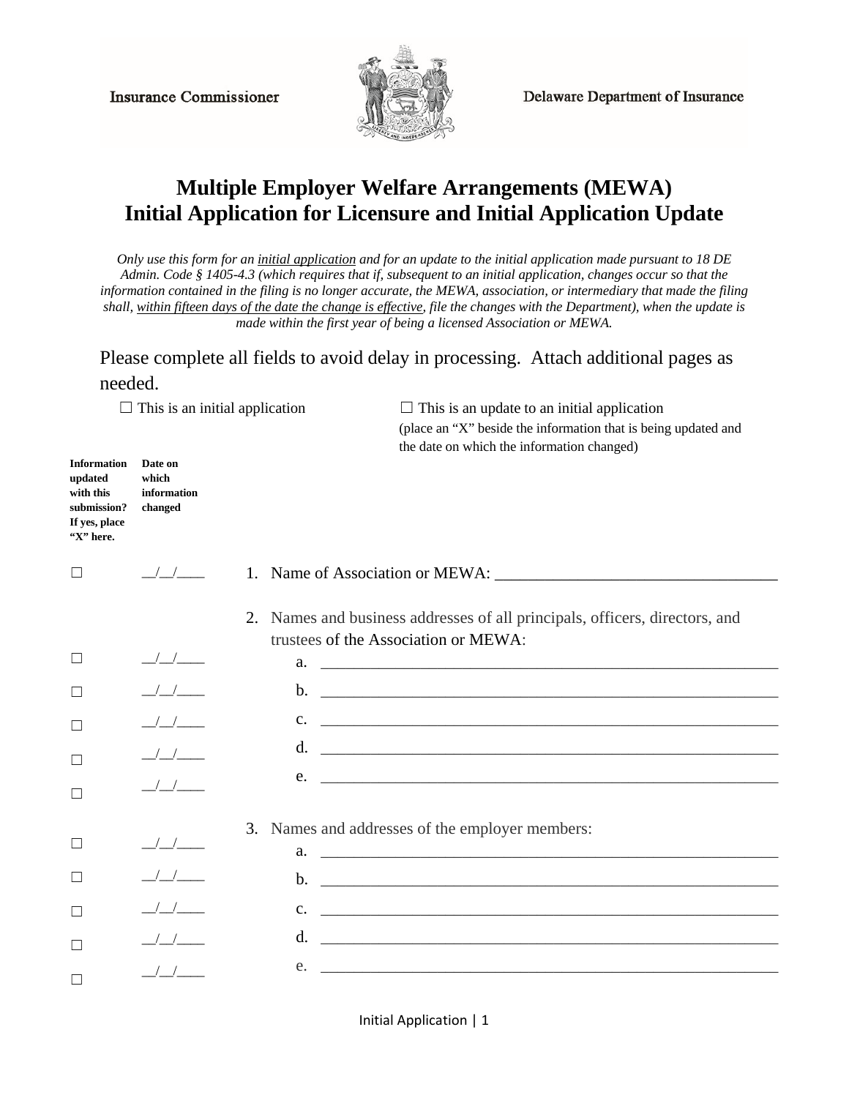**Insurance Commissioner** 



**Delaware Department of Insurance** 

## **Multiple Employer Welfare Arrangements (MEWA) Initial Application for Licensure and Initial Application Update**

*Only use this form for an initial application and for an update to the initial application made pursuant to 18 DE Admin. Code § 1405-4.3 (which requires that if, subsequent to an initial application, changes occur so that the information contained in the filing is no longer accurate, the MEWA, association, or intermediary that made the filing shall, within fifteen days of the date the change is effective, file the changes with the Department), when the update is made within the first year of being a licensed Association or MEWA.* 

Please complete all fields to avoid delay in processing. Attach additional pages as needed.

 $\Box$  This is an initial application  $\Box$  This is an update to an initial application (place an "X" beside the information that is being updated and the date on which the information changed)

| <b>Information</b><br>updated<br>with this<br>submission?<br>If yes, place<br>"X" here. | Date on<br>which<br>information<br>changed     |                                                                                                                                          |
|-----------------------------------------------------------------------------------------|------------------------------------------------|------------------------------------------------------------------------------------------------------------------------------------------|
| $\Box$                                                                                  | $\frac{1}{2}$                                  | 1. Name of Association or MEWA:                                                                                                          |
|                                                                                         |                                                | 2. Names and business addresses of all principals, officers, directors, and<br>trustees of the Association or MEWA:                      |
| $\Box$                                                                                  | $\frac{1}{2}$                                  | a.                                                                                                                                       |
| П                                                                                       | $\frac{1}{2}$                                  | $\mathbf{b}$ .                                                                                                                           |
| ⊏                                                                                       | $\frac{1}{2}$                                  | $c_{\cdot}$<br><u> 1989 - Johann Harry Harry Harry Harry Harry Harry Harry Harry Harry Harry Harry Harry Harry Harry Harry Harry</u>     |
| Г                                                                                       | $\frac{1}{2}$                                  | d.                                                                                                                                       |
| Г                                                                                       | $\frac{1}{2}$                                  | $e.$ $\overline{\phantom{a}}$                                                                                                            |
|                                                                                         |                                                | 3. Names and addresses of the employer members:                                                                                          |
| $\Box$                                                                                  | $\frac{1}{2}$                                  |                                                                                                                                          |
|                                                                                         | $\left( \begin{array}{cc} \end{array} \right)$ | $\mathbf{b}$ .                                                                                                                           |
| П                                                                                       |                                                | $\mathbf{c}$ .<br><u> 1989 - Andrea Barbara, amerikana amerikana amerikana amerikana amerikana amerikana amerikana amerikana amerika</u> |
| $\mathbf{L}$                                                                            |                                                | d.<br><u> Alexandria de la contrada de la contrada de la contrada de la contrada de la contrada de la contrada de la c</u>               |
|                                                                                         |                                                | e.                                                                                                                                       |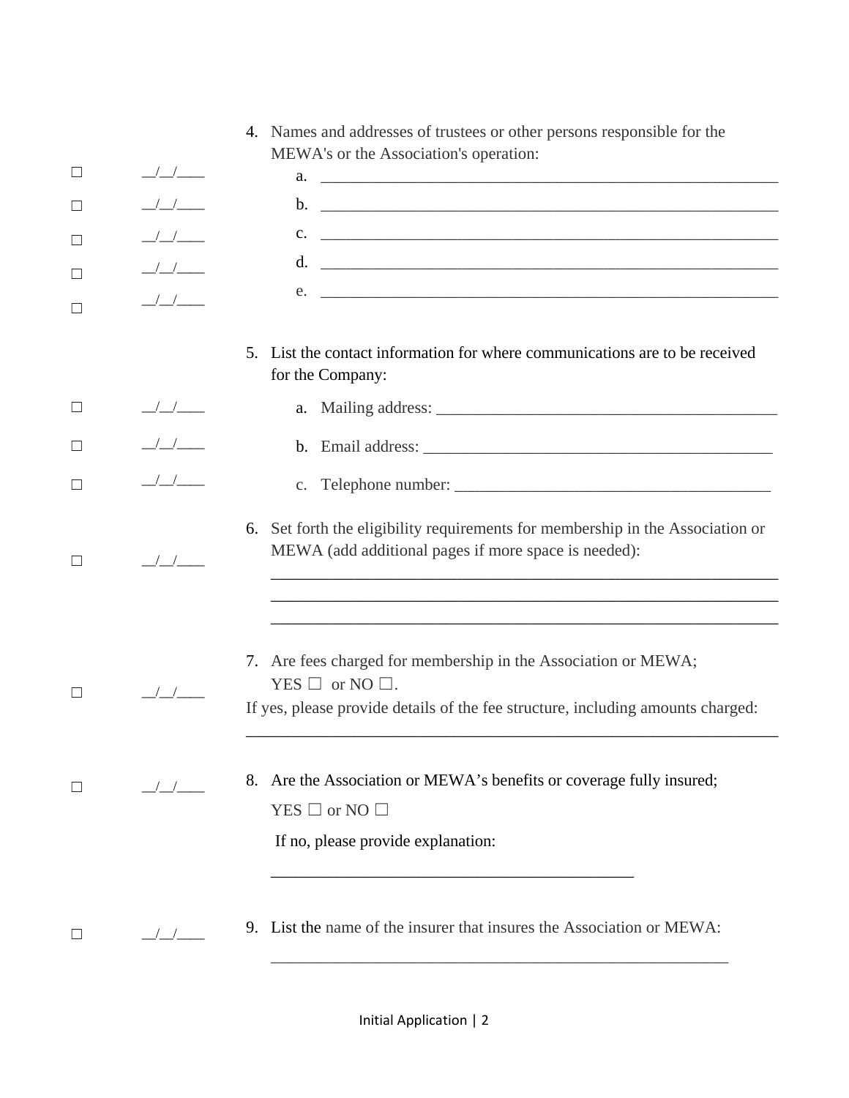|         |                                       | 4. Names and addresses of trustees or other persons responsible for the                                                                                                        |
|---------|---------------------------------------|--------------------------------------------------------------------------------------------------------------------------------------------------------------------------------|
| ⊔       | $\frac{\frac{1}{2}}{\frac{1}{2}}$     | MEWA's or the Association's operation:                                                                                                                                         |
| $\Box$  | $\frac{1}{2}$                         |                                                                                                                                                                                |
|         |                                       | $c.$ $\overline{\phantom{a}}$                                                                                                                                                  |
| □       |                                       |                                                                                                                                                                                |
| □       | $\frac{1}{2}$                         | $e.$ $\overline{\phantom{a}}$                                                                                                                                                  |
|         |                                       |                                                                                                                                                                                |
|         |                                       | List the contact information for where communications are to be received<br>5 <sub>1</sub><br>for the Company:                                                                 |
| $\Box$  | $\frac{\frac{1}{2}}{\frac{1}{2}}$     |                                                                                                                                                                                |
| $\perp$ | $\frac{1}{2}$                         |                                                                                                                                                                                |
|         | $\frac{1}{2}$                         |                                                                                                                                                                                |
| $\Box$  | $\frac{\sqrt{1-\sqrt{1-\frac{1}{2}}}$ | 6. Set forth the eligibility requirements for membership in the Association or<br>MEWA (add additional pages if more space is needed):                                         |
|         |                                       |                                                                                                                                                                                |
|         | $\frac{1}{2}$                         | 7. Are fees charged for membership in the Association or MEWA;<br>YES $\Box$ or NO $\Box$ .<br>If yes, please provide details of the fee structure, including amounts charged: |
| $\perp$ | $\frac{1}{2}$                         | 8. Are the Association or MEWA's benefits or coverage fully insured;<br>$YES \Box$ or NO $\Box$<br>If no, please provide explanation:                                          |
| $\Box$  | $\frac{\sqrt{}}{\sqrt{2}}$            | 9. List the name of the insurer that insures the Association or MEWA:                                                                                                          |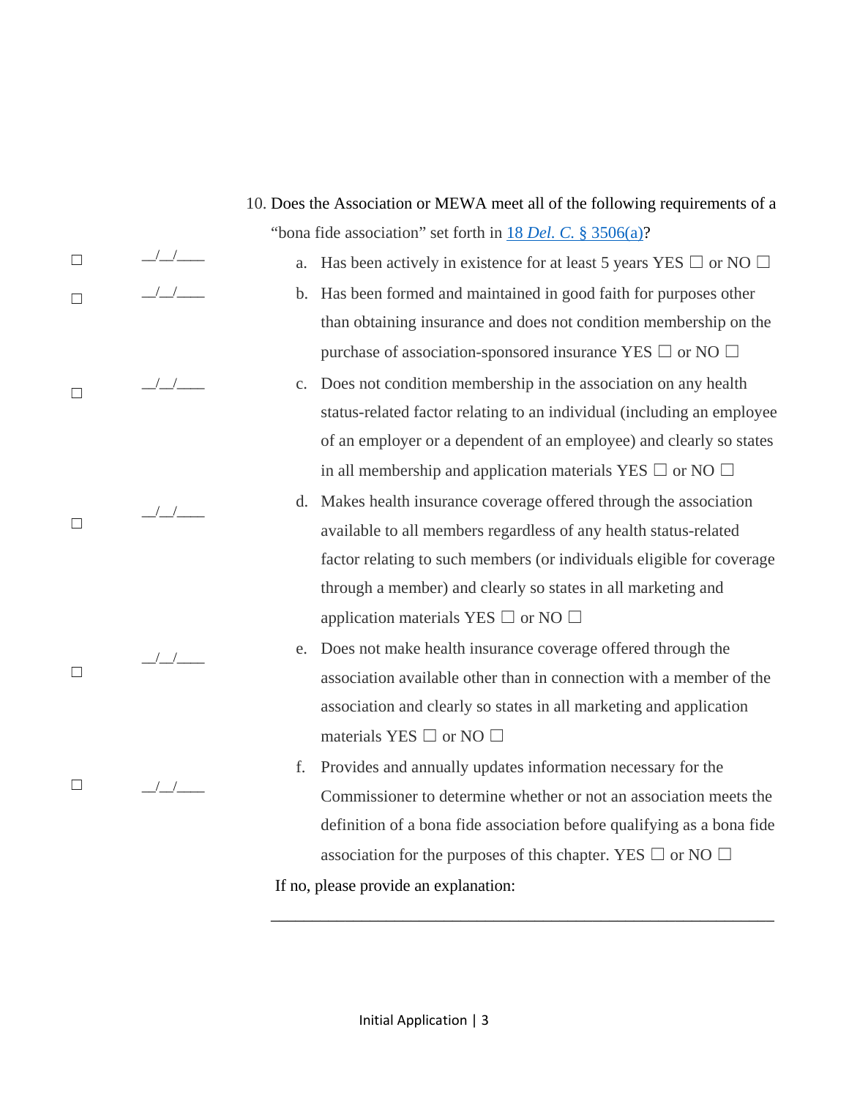$\frac{1}{2}$   $\frac{1}{2}$  $/$   $/$   $/$   $/$   $/$  $\frac{1}{2}$  $\frac{1}{2}$  $\frac{1}{1}$ "bona fide association" set forth in 18 *Del. C.* [§ 3506\(a\)?](http://delcode.delaware.gov/title18/c035/index.shtml) a. Has been actively in existence for at least 5 years YES  $\Box$  or NO  $\Box$ b. Has been formed and maintained in good faith for purposes other than obtaining insurance and does not condition membership on the purchase of association-sponsored insurance YES  $\Box$  or NO  $\Box$ c. Does not condition membership in the association on any health status-related factor relating to an individual (including an employee of an employer or a dependent of an employee) and clearly so states in all membership and application materials YES  $\Box$  or NO  $\Box$ d. Makes health insurance coverage offered through the association available to all members regardless of any health status-related factor relating to such members (or individuals eligible for coverage through a member) and clearly so states in all marketing and application materials YES  $\Box$  or NO  $\Box$ e. Does not make health insurance coverage offered through the association available other than in connection with a member of the association and clearly so states in all marketing and application materials YES  $\Box$  or NO  $\Box$ f. Provides and annually updates information necessary for the Commissioner to determine whether or not an association meets the definition of a bona fide association before qualifying as a bona fide association for the purposes of this chapter. YES  $\Box$  or NO  $\Box$ If no, please provide an explanation:

10. Does the Association or MEWA meet all of the following requirements of a

☐

 $\Box$ 

 $\Box$ 

 $\Box$ 

☐

☐

\_\_\_\_\_\_\_\_\_\_\_\_\_\_\_\_\_\_\_\_\_\_\_\_\_\_\_\_\_\_\_\_\_\_\_\_\_\_\_\_\_\_\_\_\_\_\_\_\_\_\_\_\_\_\_\_\_\_\_\_\_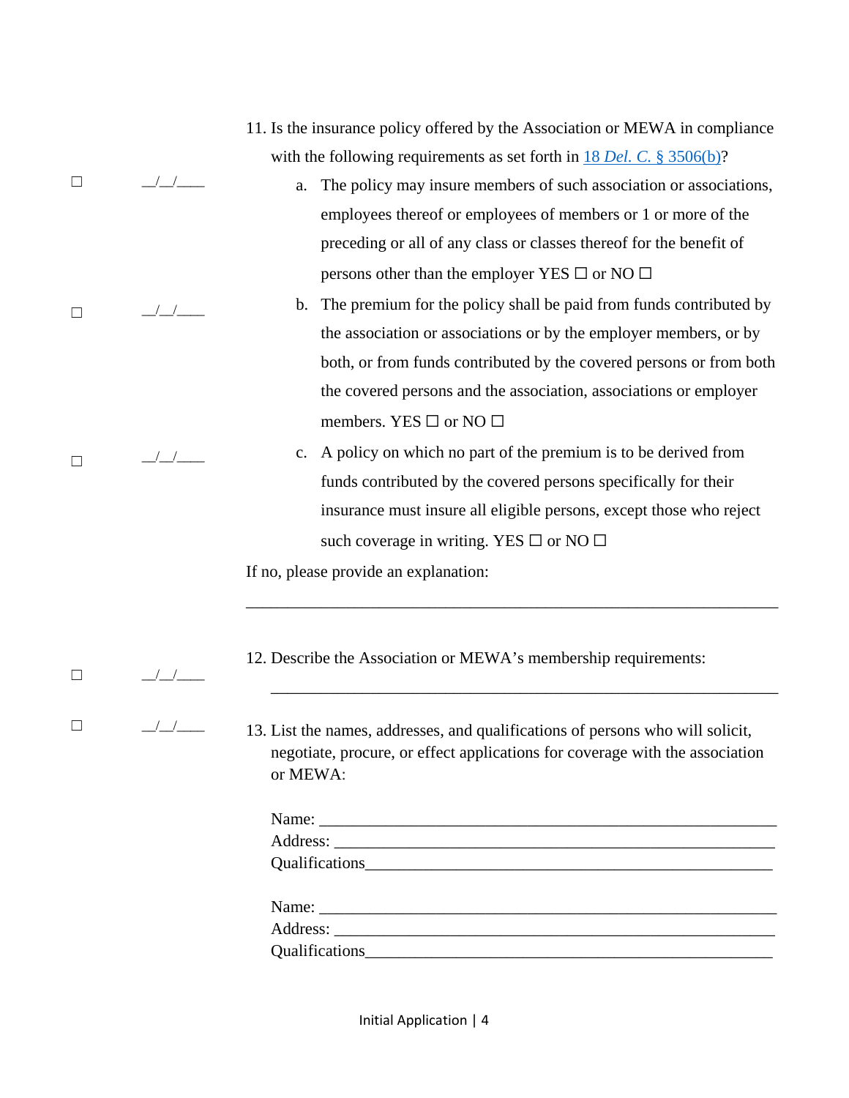|          |            | 11. Is the insurance policy offered by the Association or MEWA in compliance                                                                                   |
|----------|------------|----------------------------------------------------------------------------------------------------------------------------------------------------------------|
|          |            | with the following requirements as set forth in $18$ Del. C. § 3506(b)?                                                                                        |
| ⊔        | $\sqrt{2}$ | The policy may insure members of such association or associations,<br>a.                                                                                       |
|          |            | employees thereof or employees of members or 1 or more of the                                                                                                  |
|          |            | preceding or all of any class or classes thereof for the benefit of                                                                                            |
|          |            | persons other than the employer YES $\square$ or NO $\square$                                                                                                  |
| $\Box$   |            | The premium for the policy shall be paid from funds contributed by<br>$\mathbf{b}$ .                                                                           |
|          |            | the association or associations or by the employer members, or by                                                                                              |
|          |            | both, or from funds contributed by the covered persons or from both                                                                                            |
|          |            | the covered persons and the association, associations or employer                                                                                              |
|          |            | members. YES $\square$ or NO $\square$                                                                                                                         |
| П        |            | A policy on which no part of the premium is to be derived from<br>c.                                                                                           |
|          |            | funds contributed by the covered persons specifically for their                                                                                                |
|          |            | insurance must insure all eligible persons, except those who reject                                                                                            |
|          |            | such coverage in writing. YES $\square$ or NO $\square$                                                                                                        |
|          |            | If no, please provide an explanation:                                                                                                                          |
|          |            |                                                                                                                                                                |
|          |            | 12. Describe the Association or MEWA's membership requirements:                                                                                                |
| $\Box$   |            |                                                                                                                                                                |
| or MEWA: |            | 13. List the names, addresses, and qualifications of persons who will solicit,<br>negotiate, procure, or effect applications for coverage with the association |
|          |            |                                                                                                                                                                |
|          |            |                                                                                                                                                                |
|          |            |                                                                                                                                                                |
|          |            |                                                                                                                                                                |
|          |            |                                                                                                                                                                |
|          |            |                                                                                                                                                                |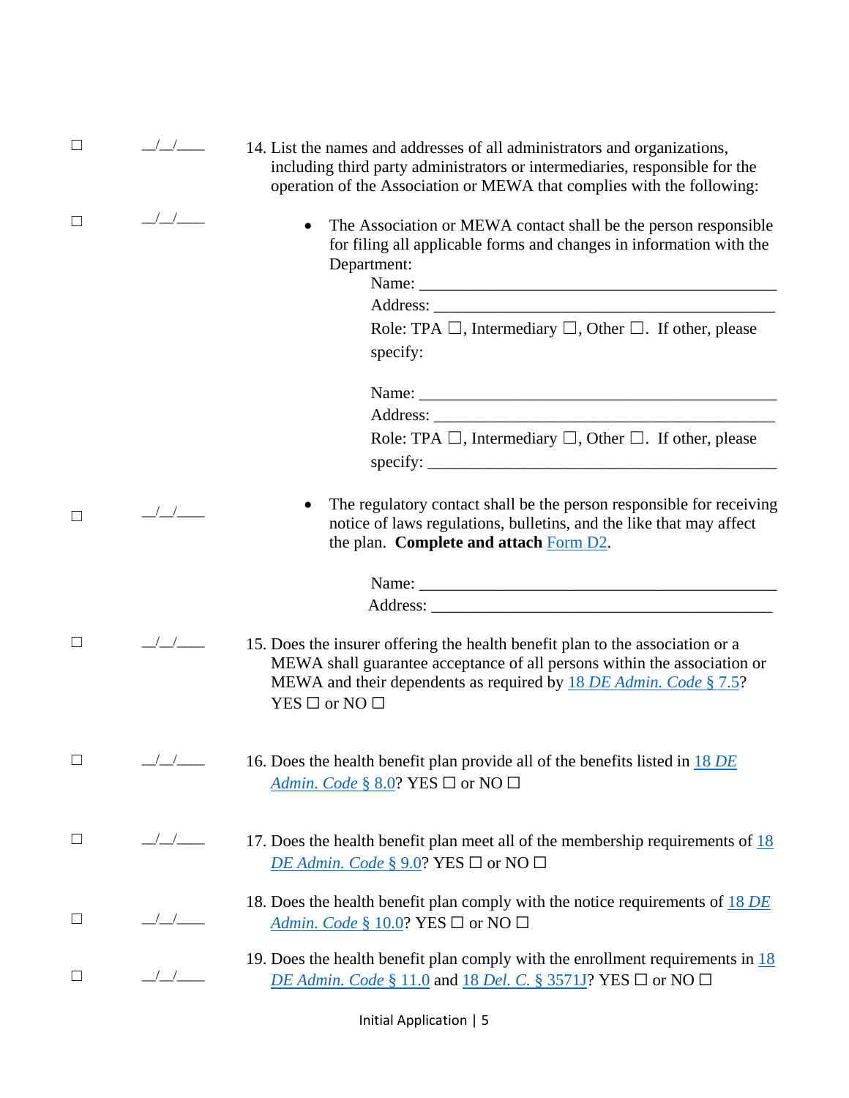| $\Box$ | $\frac{1}{2}$                                 | 14. List the names and addresses of all administrators and organizations,<br>including third party administrators or intermediaries, responsible for the<br>operation of the Association or MEWA that complies with the following:                        |
|--------|-----------------------------------------------|-----------------------------------------------------------------------------------------------------------------------------------------------------------------------------------------------------------------------------------------------------------|
| $\Box$ | $\sqrt{2}$                                    | The Association or MEWA contact shall be the person responsible<br>for filing all applicable forms and changes in information with the<br>Department:<br>Role: TPA $\Box$ , Intermediary $\Box$ , Other $\Box$ . If other, please<br>specify:             |
|        |                                               |                                                                                                                                                                                                                                                           |
|        |                                               |                                                                                                                                                                                                                                                           |
|        |                                               | Role: TPA $\Box$ , Intermediary $\Box$ , Other $\Box$ . If other, please<br>specify:                                                                                                                                                                      |
| П      | $\left  \begin{array}{c} \end{array} \right $ | The regulatory contact shall be the person responsible for receiving<br>notice of laws regulations, bulletins, and the like that may affect<br>the plan. Complete and attach Form D2.                                                                     |
|        |                                               |                                                                                                                                                                                                                                                           |
|        |                                               |                                                                                                                                                                                                                                                           |
| $\Box$ | $\frac{\sqrt{1-\mu}}{\sqrt{1-\mu}}$           | 15. Does the insurer offering the health benefit plan to the association or a<br>MEWA shall guarantee acceptance of all persons within the association or<br>MEWA and their dependents as required by 18 DE Admin. Code § 7.5?<br>$YES \Box$ or NO $\Box$ |
| $\Box$ | $\frac{\sqrt{2}}{\sqrt{2}}$                   | 16. Does the health benefit plan provide all of the benefits listed in 18 DE<br>Admin. Code § 8.0? YES $\Box$ or NO $\Box$                                                                                                                                |
| $\Box$ | $\frac{\sqrt{2}}{\sqrt{2}}$                   | 17. Does the health benefit plan meet all of the membership requirements of $\frac{18}{18}$<br>DE Admin. Code § 9.0? YES $\Box$ or NO $\Box$                                                                                                              |
| $\Box$ |                                               | 18. Does the health benefit plan comply with the notice requirements of $18$ DE<br>Admin. Code § 10.0? YES $\Box$ or NO $\Box$                                                                                                                            |
| $\Box$ | $\frac{1}{\sqrt{2}}$                          | 19. Does the health benefit plan comply with the enrollment requirements in $\frac{18}{18}$<br>DE Admin. Code § 11.0 and 18 Del. C. § 3571J? YES $\square$ or NO $\square$                                                                                |

Initial Application | 5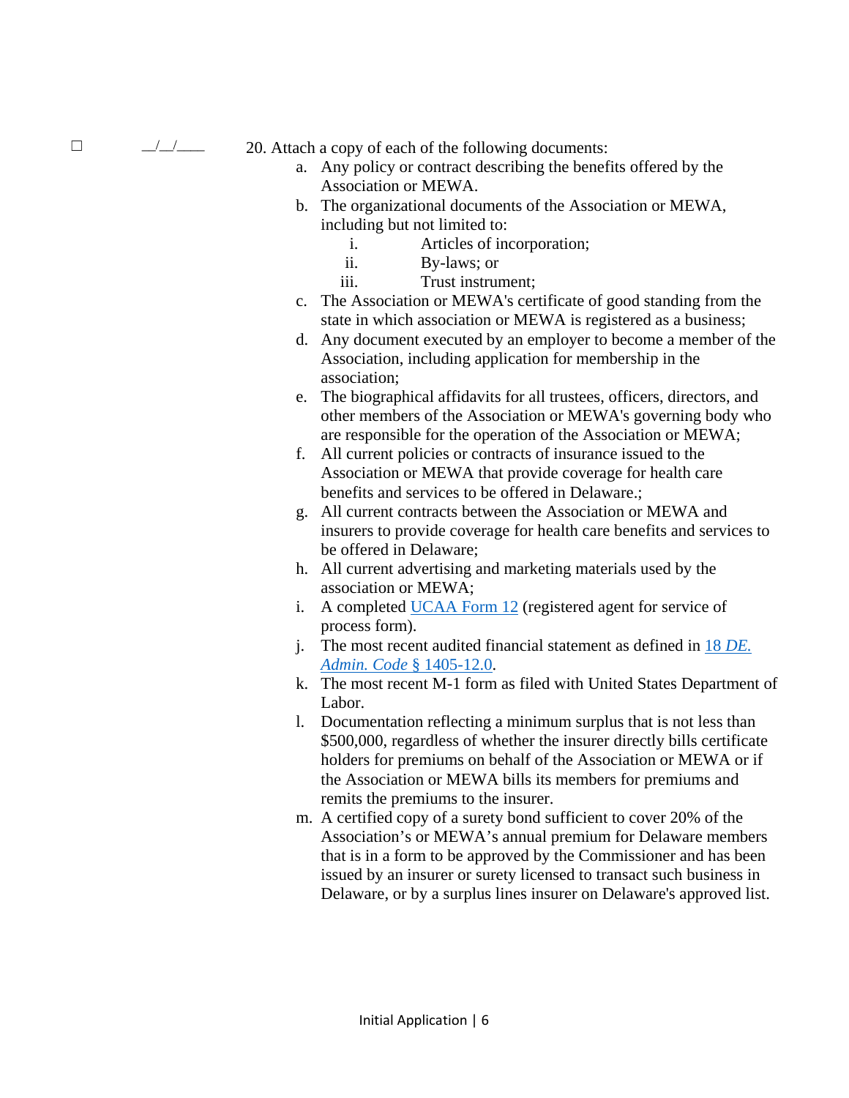$\Box$   $\Box$  20. Attach a copy of each of the following documents:

- a. Any policy or contract describing the benefits offered by the Association or MEWA.
- b. The organizational documents of the Association or MEWA, including but not limited to:
	- i. Articles of incorporation;
	- ii. By-laws; or
	- iii. Trust instrument;
- c. The Association or MEWA's certificate of good standing from the state in which association or MEWA is registered as a business;
- d. Any document executed by an employer to become a member of the Association, including application for membership in the association;
- e. The [biographical affidavits](https://www.naic.org/documents/industry_ucaa_form11.pdf) for all trustees, officers, directors, and other members of the Association or MEWA's governing body who are responsible for the operation of the Association or MEWA;
- f. All current policies or contracts of insurance issued to the Association or MEWA that provide coverage for health care benefits and services to be offered in Delaware.;
- g. All current contracts between the Association or MEWA and insurers to provide coverage for health care benefits and services to be offered in Delaware;
- h. All current advertising and marketing materials used by the association or MEWA;
- i. A completed [UCAA Form 12](https://www.naic.org/documents/industry_ucaa_form12.pdf) (registered agent for service of process form).
- j. The most recent audited financial statement as defined in 18 *[DE.](http://regulations.delaware.gov/AdminCode/title18/1400/1405.shtml#TopOfPage)  [Admin. Code](http://regulations.delaware.gov/AdminCode/title18/1400/1405.shtml#TopOfPage)* § 1405-12.0.
- k. The most recent M-1 form as filed with United States Department of Labor.
- l. Documentation reflecting a minimum surplus that is not less than \$500,000, regardless of whether the insurer directly bills certificate holders for premiums on behalf of the Association or MEWA or if the Association or MEWA bills its members for premiums and remits the premiums to the insurer.
- m. A certified copy of a surety bond sufficient to cover 20% of the Association's or MEWA's annual premium for Delaware members that is in a form to be approved by the Commissioner and has been issued by an insurer or surety licensed to transact such business in Delaware, or by a surplus lines insurer on Delaware's approved list.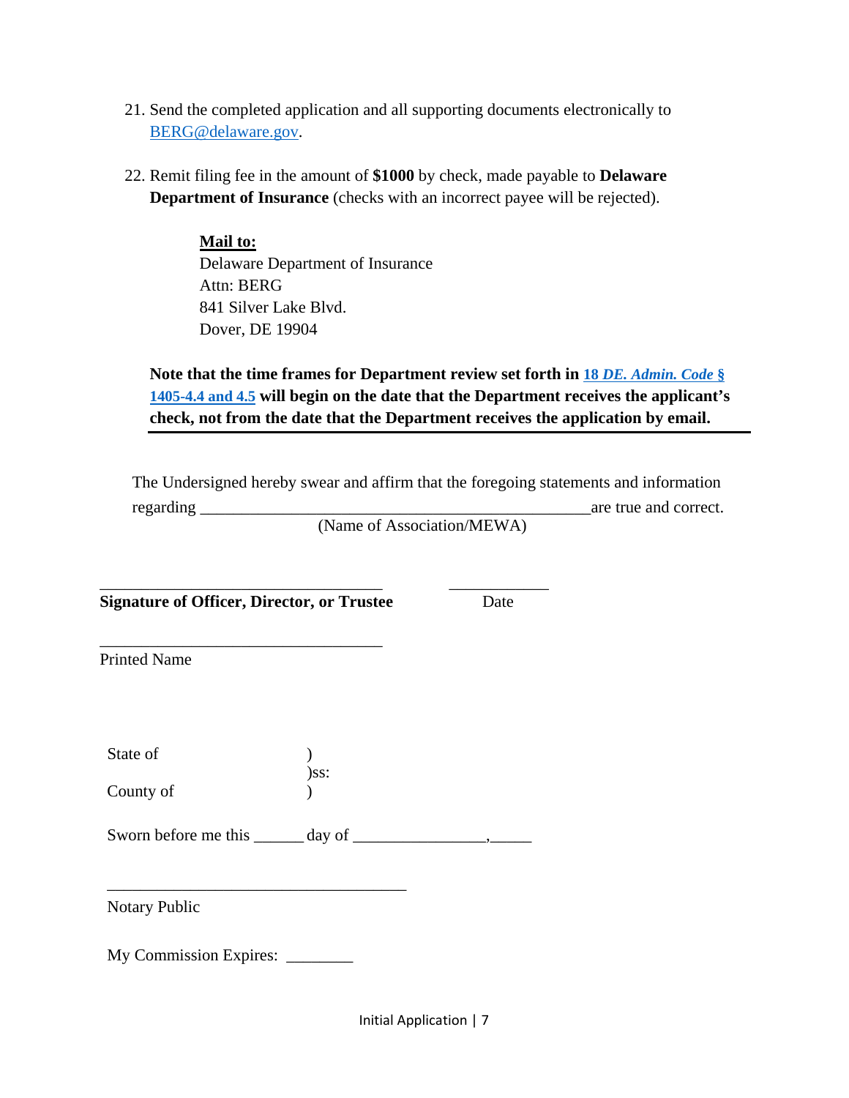- 21. Send the completed application and all supporting documents electronically to [BERG@delaware.gov.](mailto:BERG@delaware.gov)
- 22. Remit filing fee in the amount of **\$1000** by check, made payable to **Delaware Department of Insurance** (checks with an incorrect payee will be rejected).

**Mail to:** Delaware Department of Insurance Attn: BERG 841 Silver Lake Blvd. Dover, DE 19904

## **Note that the time frames for Department review set forth in 18** *[DE. Admin. Code](http://regulations.delaware.gov/AdminCode/title18/1400/1405.shtml#TopOfPage)* **§ [1405-4.4 and 4.5](http://regulations.delaware.gov/AdminCode/title18/1400/1405.shtml#TopOfPage) will begin on the date that the Department receives the applicant's check, not from the date that the Department receives the application by email.**

The Undersigned hereby swear and affirm that the foregoing statements and information regarding the correct of the correct of the correct of the correct of the correct.

(Name of Association/MEWA)

\_\_\_\_\_\_\_\_\_\_\_\_\_\_\_\_\_\_\_\_\_\_\_\_\_\_\_\_\_\_\_\_\_\_ \_\_\_\_\_\_\_\_\_\_\_\_ **Signature of Officer, Director, or Trustee** Date

\_\_\_\_\_\_\_\_\_\_\_\_\_\_\_\_\_\_\_\_\_\_\_\_\_\_\_\_\_\_\_\_\_\_ Printed Name

State of  $\qquad \qquad$  ) )ss: County of  $\qquad \qquad$  )

Sworn before me this \_\_\_\_\_\_ day of \_\_\_\_\_\_\_\_\_\_\_\_\_\_\_\_,\_\_\_\_\_

Notary Public

My Commission Expires: \_\_\_\_\_\_\_\_

\_\_\_\_\_\_\_\_\_\_\_\_\_\_\_\_\_\_\_\_\_\_\_\_\_\_\_\_\_\_\_\_\_\_\_\_